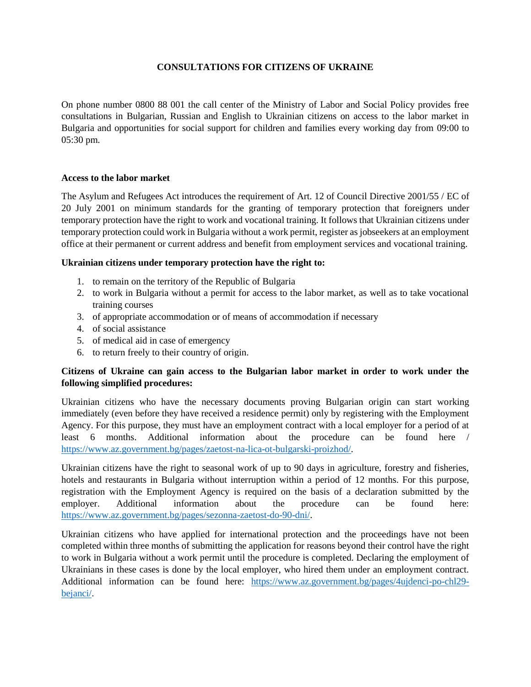# **CONSULTATIONS FOR CITIZENS OF UKRAINE**

On phone number 0800 88 001 the call center of the Ministry of Labor and Social Policy provides free consultations in Bulgarian, Russian and English to Ukrainian citizens on access to the labor market in Bulgaria and opportunities for social support for children and families every working day from 09:00 to 05:30 pm.

#### **Access to the labor market**

The Asylum and Refugees Act introduces the requirement of Art. 12 of Council Directive 2001/55 / EC of 20 July 2001 on minimum standards for the granting of temporary protection that foreigners under temporary protection have the right to work and vocational training. It follows that Ukrainian citizens under temporary protection could work in Bulgaria without a work permit, register as jobseekers at an employment office at their permanent or current address and benefit from employment services and vocational training.

#### **Ukrainian citizens under temporary protection have the right to:**

- 1. to remain on the territory of the Republic of Bulgaria
- 2. to work in Bulgaria without a permit for access to the labor market, as well as to take vocational training courses
- 3. of appropriate accommodation or of means of accommodation if necessary
- 4. of social assistance
- 5. of medical aid in case of emergency
- 6. to return freely to their country of origin.

### **Citizens of Ukraine can gain access to the Bulgarian labor market in order to work under the following simplified procedures:**

Ukrainian citizens who have the necessary documents proving Bulgarian origin can start working immediately (even before they have received a residence permit) only by registering with the Employment Agency. For this purpose, they must have an employment contract with a local employer for a period of at least 6 months. Additional information about the procedure can be found here / [https://www.az.government.bg/pages/zaetost-na-lica-ot-bulgarski-proizhod/.](https://www.az.government.bg/pages/zaetost-na-lica-ot-bulgarski-proizhod/)

Ukrainian citizens have the right to seasonal work of up to 90 days in agriculture, forestry and fisheries, hotels and restaurants in Bulgaria without interruption within a period of 12 months. For this purpose, registration with the Employment Agency is required on the basis of a declaration submitted by the employer. Additional information about the procedure can be found here: [https://www.az.government.bg/pages/sezonna-zaetost-do-90-dni/.](https://www.az.government.bg/pages/sezonna-zaetost-do-90-dni/)

Ukrainian citizens who have applied for international protection and the proceedings have not been completed within three months of submitting the application for reasons beyond their control have the right to work in Bulgaria without a work permit until the procedure is completed. Declaring the employment of Ukrainians in these cases is done by the local employer, who hired them under an employment contract. Additional information can be found here: [https://www.az.government.bg/pages/4ujdenci-po-chl29](https://www.az.government.bg/pages/4ujdenci-po-chl29-bejanci/) [bejanci/.](https://www.az.government.bg/pages/4ujdenci-po-chl29-bejanci/)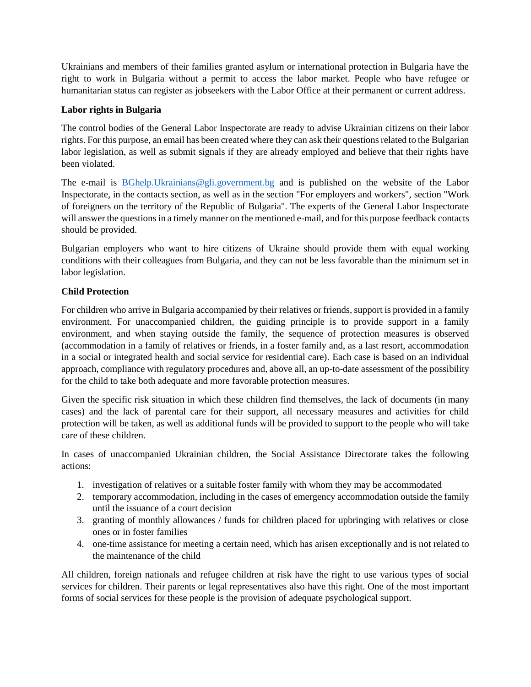Ukrainians and members of their families granted asylum or international protection in Bulgaria have the right to work in Bulgaria without a permit to access the labor market. People who have refugee or humanitarian status can register as jobseekers with the Labor Office at their permanent or current address.

# **Labor rights in Bulgaria**

The control bodies of the General Labor Inspectorate are ready to advise Ukrainian citizens on their labor rights. For this purpose, an email has been created where they can ask their questions related to the Bulgarian labor legislation, as well as submit signals if they are already employed and believe that their rights have been violated.

The e-mail is [BGhelp.Ukrainians@gli.government.bg](mailto:BGhelp.Ukrainians@gli.government.bg) and is published on the website of the Labor Inspectorate, in the contacts section, as well as in the section "For employers and workers", section "Work of foreigners on the territory of the Republic of Bulgaria". The experts of the General Labor Inspectorate will answer the questions in a timely manner on the mentioned e-mail, and for this purpose feedback contacts should be provided.

Bulgarian employers who want to hire citizens of Ukraine should provide them with equal working conditions with their colleagues from Bulgaria, and they can not be less favorable than the minimum set in labor legislation.

# **Child Protection**

For children who arrive in Bulgaria accompanied by their relatives or friends, support is provided in a family environment. For unaccompanied children, the guiding principle is to provide support in a family environment, and when staying outside the family, the sequence of protection measures is observed (accommodation in a family of relatives or friends, in a foster family and, as a last resort, accommodation in a social or integrated health and social service for residential care). Each case is based on an individual approach, compliance with regulatory procedures and, above all, an up-to-date assessment of the possibility for the child to take both adequate and more favorable protection measures.

Given the specific risk situation in which these children find themselves, the lack of documents (in many cases) and the lack of parental care for their support, all necessary measures and activities for child protection will be taken, as well as additional funds will be provided to support to the people who will take care of these children.

In cases of unaccompanied Ukrainian children, the Social Assistance Directorate takes the following actions:

- 1. investigation of relatives or a suitable foster family with whom they may be accommodated
- 2. temporary accommodation, including in the cases of emergency accommodation outside the family until the issuance of a court decision
- 3. granting of monthly allowances / funds for children placed for upbringing with relatives or close ones or in foster families
- 4. one-time assistance for meeting a certain need, which has arisen exceptionally and is not related to the maintenance of the child

All children, foreign nationals and refugee children at risk have the right to use various types of social services for children. Their parents or legal representatives also have this right. One of the most important forms of social services for these people is the provision of adequate psychological support.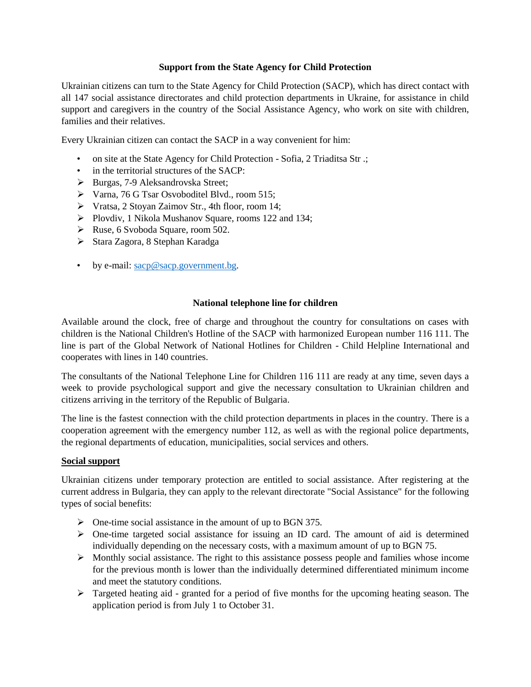# **Support from the State Agency for Child Protection**

Ukrainian citizens can turn to the State Agency for Child Protection (SACP), which has direct contact with all 147 social assistance directorates and child protection departments in Ukraine, for assistance in child support and caregivers in the country of the Social Assistance Agency, who work on site with children, families and their relatives.

Every Ukrainian citizen can contact the SACP in a way convenient for him:

- on site at the State Agency for Child Protection Sofia, 2 Triaditsa Str .;
- in the territorial structures of the SACP:
- Burgas, 7-9 Aleksandrovska Street;
- Varna, 76 G Tsar Osvoboditel Blvd., room 515;
- Vratsa, 2 Stoyan Zaimov Str., 4th floor, room 14;
- Plovdiv, 1 Nikola Mushanov Square, rooms 122 and 134;
- $\triangleright$  Ruse, 6 Svoboda Square, room 502.
- Stara Zagora, 8 Stephan Karadga
- by e-mail: [sacp@sacp.government.bg.](mailto:sacp@sacp.government.bg)

# **National telephone line for children**

Available around the clock, free of charge and throughout the country for consultations on cases with children is the National Children's Hotline of the SACP with harmonized European number 116 111. The line is part of the Global Network of National Hotlines for Children - Child Helpline International and cooperates with lines in 140 countries.

The consultants of the National Telephone Line for Children 116 111 are ready at any time, seven days a week to provide psychological support and give the necessary consultation to Ukrainian children and citizens arriving in the territory of the Republic of Bulgaria.

The line is the fastest connection with the child protection departments in places in the country. There is a cooperation agreement with the emergency number 112, as well as with the regional police departments, the regional departments of education, municipalities, social services and others.

### **Social support**

Ukrainian citizens under temporary protection are entitled to social assistance. After registering at the current address in Bulgaria, they can apply to the relevant directorate "Social Assistance" for the following types of social benefits:

- $\triangleright$  One-time social assistance in the amount of up to BGN 375.
- $\triangleright$  One-time targeted social assistance for issuing an ID card. The amount of aid is determined individually depending on the necessary costs, with a maximum amount of up to BGN 75.
- $\triangleright$  Monthly social assistance. The right to this assistance possess people and families whose income for the previous month is lower than the individually determined differentiated minimum income and meet the statutory conditions.
- $\triangleright$  Targeted heating aid granted for a period of five months for the upcoming heating season. The application period is from July 1 to October 31.